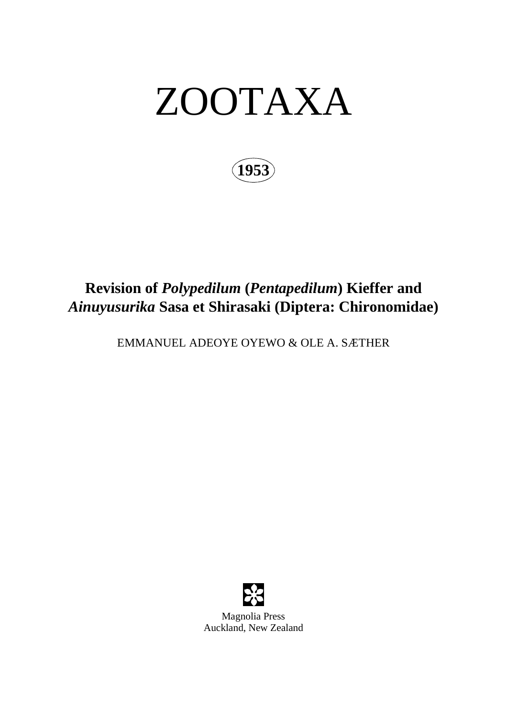# ZOOTAXA

**1953**

## **Revision of** *Polypedilum* **(***Pentapedilum***) Kieffer and**  *Ainuyusurika* **Sasa et Shirasaki (Diptera: Chironomidae)**

EMMANUEL ADEOYE OYEWO & OLE A. SÆTHER



Magnolia Press Auckland, New Zealand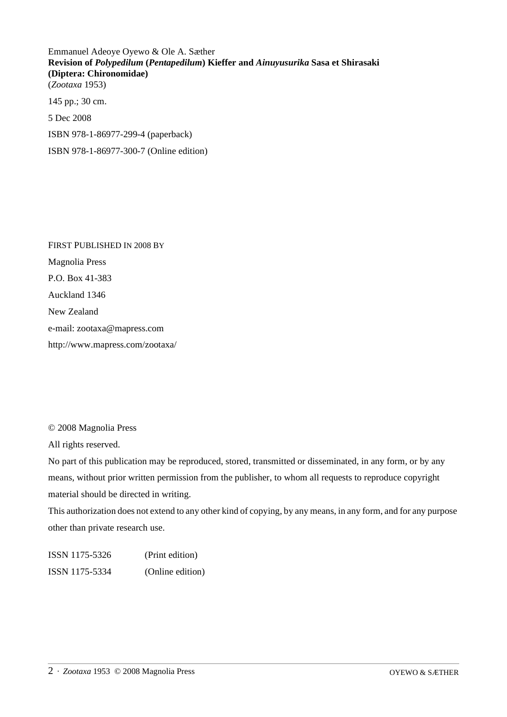Emmanuel Adeoye Oyewo & Ole A. Sæther **Revision of** *Polypedilum* **(***Pentapedilum***) Kieffer and** *Ainuyusurika* **Sasa et Shirasaki (Diptera: Chironomidae)** (*Zootaxa* 1953) 145 pp.; 30 cm. 5 Dec 2008 ISBN 978-1-86977-299-4 (paperback) ISBN 978-1-86977-300-7 (Online edition)

FIRST PUBLISHED IN 2008 BY Magnolia Press P.O. Box 41-383 Auckland 1346 New Zealand e-mail: zootaxa@mapress.com http://www.mapress.com/zootaxa/

© 2008 Magnolia Press

All rights reserved.

No part of this publication may be reproduced, stored, transmitted or disseminated, in any form, or by any means, without prior written permission from the publisher, to whom all requests to reproduce copyright material should be directed in writing.

This authorization does not extend to any other kind of copying, by any means, in any form, and for any purpose other than private research use.

ISSN 1175-5326 (Print edition) ISSN 1175-5334 (Online edition)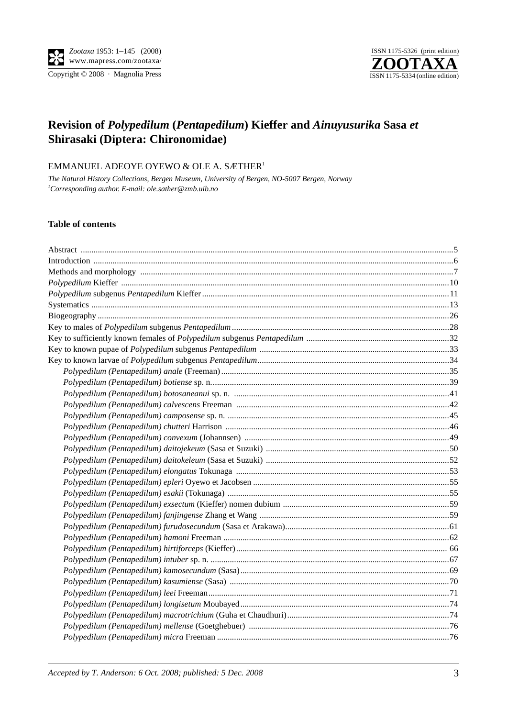Copyright © 2008 · Magnolia Press



### **Revision of** *Polypedilum* **(***Pentapedilum***) Kieffer and** *Ainuyusurika* **Sasa** *et* **Shirasaki (Diptera: Chironomidae)**

#### EMMANUEL ADEOYE OYEWO & OLE A. SÆTHER1

*The Natural History Collections, Bergen Museum, University of Bergen, NO-5007 Bergen, Norway 1 Corresponding author. E-mail: ole.sather@zmb.uib.no*

#### **Table of contents**